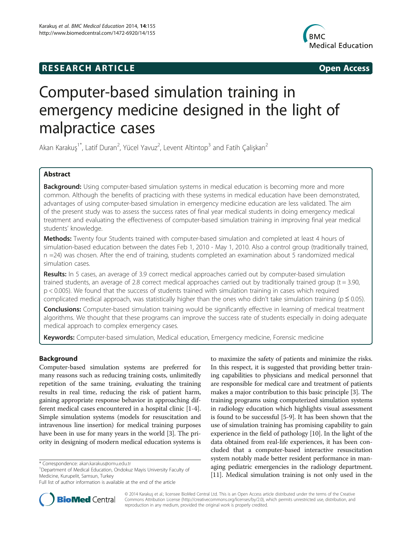## **RESEARCH ARTICLE Example 2014 The SEAR CH ACCESS**



# Computer-based simulation training in emergency medicine designed in the light of malpractice cases

Akan Karakuş<sup>1\*</sup>, Latif Duran<sup>2</sup>, Yücel Yavuz<sup>2</sup>, Levent Altintop<sup>3</sup> and Fatih Çalişkan<sup>2</sup>

## Abstract

Background: Using computer-based simulation systems in medical education is becoming more and more common. Although the benefits of practicing with these systems in medical education have been demonstrated, advantages of using computer-based simulation in emergency medicine education are less validated. The aim of the present study was to assess the success rates of final year medical students in doing emergency medical treatment and evaluating the effectiveness of computer-based simulation training in improving final year medical students' knowledge.

Methods: Twenty four Students trained with computer-based simulation and completed at least 4 hours of simulation-based education between the dates Feb 1, 2010 - May 1, 2010. Also a control group (traditionally trained, n =24) was chosen. After the end of training, students completed an examination about 5 randomized medical simulation cases.

Results: In 5 cases, an average of 3.9 correct medical approaches carried out by computer-based simulation trained students, an average of 2.8 correct medical approaches carried out by traditionally trained group  $(t = 3.90, t)$ p < 0.005). We found that the success of students trained with simulation training in cases which required complicated medical approach, was statistically higher than the ones who didn't take simulation training ( $p \le 0.05$ ).

**Conclusions:** Computer-based simulation training would be significantly effective in learning of medical treatment algorithms. We thought that these programs can improve the success rate of students especially in doing adequate medical approach to complex emergency cases.

Keywords: Computer-based simulation, Medical education, Emergency medicine, Forensic medicine

## Background

Computer-based simulation systems are preferred for many reasons such as reducing training costs, unlimitedly repetition of the same training, evaluating the training results in real time, reducing the risk of patient harm, gaining appropriate response behavior in approaching different medical cases encountered in a hospital clinic [\[1](#page-4-0)-[4](#page-4-0)]. Simple simulation systems (models for resuscitation and intravenous line insertion) for medical training purposes have been in use for many years in the world [\[3](#page-4-0)]. The priority in designing of modern medical education systems is

<sup>1</sup>Department of Medical Education, Ondokuz Mayis University Faculty of Medicine, Kurupelit, Samsun, Turkey

to maximize the safety of patients and minimize the risks. In this respect, it is suggested that providing better training capabilities to physicians and medical personnel that are responsible for medical care and treatment of patients makes a major contribution to this basic principle [[3\]](#page-4-0). The training programs using computerized simulation systems in radiology education which highlights visual assessment is found to be successful [\[5](#page-4-0)-[9\]](#page-4-0). It has been shown that the use of simulation training has promising capability to gain experience in the field of pathology [\[10\]](#page-4-0). In the light of the data obtained from real-life experiences, it has been concluded that a computer-based interactive resuscitation system notably made better resident performance in managing pediatric emergencies in the radiology department. [[11](#page-4-0)]. Medical simulation training is not only used in the



© 2014 Karakuş et al.; licensee BioMed Central Ltd. This is an Open Access article distributed under the terms of the Creative Commons Attribution License [\(http://creativecommons.org/licenses/by/2.0\)](http://creativecommons.org/licenses/by/2.0), which permits unrestricted use, distribution, and reproduction in any medium, provided the original work is properly credited.

<sup>\*</sup> Correspondence: [akan.karakus@omu.edu.tr](mailto:akan.karakus@omu.edu.tr) <sup>1</sup>

Full list of author information is available at the end of the article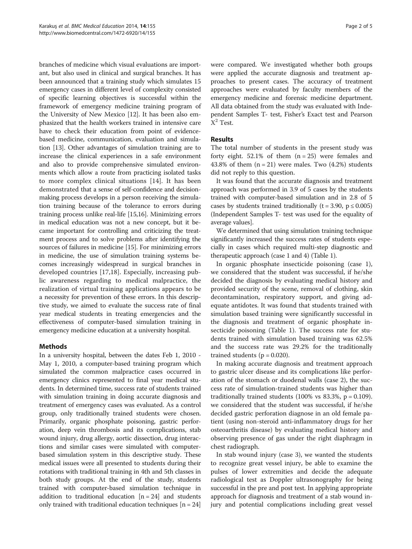branches of medicine which visual evaluations are important, but also used in clinical and surgical branches. It has been announced that a training study which simulates 15 emergency cases in different level of complexity consisted of specific learning objectives is successful within the framework of emergency medicine training program of the University of New Mexico [\[12](#page-4-0)]. It has been also emphasized that the health workers trained in intensive care have to check their education from point of evidencebased medicine, communication, evaluation and simulation [[13](#page-4-0)]. Other advantages of simulation training are to increase the clinical experiences in a safe environment and also to provide comprehensive simulated environments which allow a route from practicing isolated tasks to more complex clinical situations [[14](#page-4-0)]. It has been demonstrated that a sense of self-confidence and decisionmaking process develops in a person receiving the simulation training because of the tolerance to errors during training process unlike real-life [[15,16](#page-4-0)]. Minimizing errors in medical education was not a new concept, but it became important for controlling and criticizing the treatment process and to solve problems after identifying the sources of failures in medicine [\[15](#page-4-0)]. For minimizing errors in medicine, the use of simulation training systems becomes increasingly widespread in surgical branches in developed countries [[17](#page-4-0),[18\]](#page-4-0). Especially, increasing public awareness regarding to medical malpractice, the realization of virtual training applications appears to be a necessity for prevention of these errors. In this descriptive study, we aimed to evaluate the success rate of final year medical students in treating emergencies and the effectiveness of computer-based simulation training in emergency medicine education at a university hospital.

## Methods

In a university hospital, between the dates Feb 1, 2010 - May 1, 2010, a computer-based training program which simulated the common malpractice cases occurred in emergency clinics represented to final year medical students. In determined time, success rate of students trained with simulation training in doing accurate diagnosis and treatment of emergency cases was evaluated. As a control group, only traditionally trained students were chosen. Primarily, organic phosphate poisoning, gastric perforation, deep vein thrombosis and its complications, stab wound injury, drug allergy, aortic dissection, drug interactions and similar cases were simulated with computerbased simulation system in this descriptive study. These medical issues were all presented to students during their rotations with traditional training in 4th and 5th classes in both study groups. At the end of the study, students trained with computer-based simulation technique in addition to traditional education  $[n = 24]$  and students only trained with traditional education techniques  $[n = 24]$ 

were compared. We investigated whether both groups were applied the accurate diagnosis and treatment approaches to present cases. The accuracy of treatment approaches were evaluated by faculty members of the emergency medicine and forensic medicine department. All data obtained from the study was evaluated with Independent Samples T- test, Fisher's Exact test and Pearson  $X^2$  Test.

## Results

The total number of students in the present study was forty eight.  $52.1\%$  of them  $(n = 25)$  were females and 43.8% of them  $(n = 21)$  were males. Two  $(4.2%)$  students did not reply to this question.

It was found that the accurate diagnosis and treatment approach was performed in 3.9 of 5 cases by the students trained with computer-based simulation and in 2.8 of 5 cases by students trained traditionally ( $t = 3.90$ ,  $p \le 0.005$ ) (Independent Samples T- test was used for the equality of average values].

We determined that using simulation training technique significantly increased the success rates of students especially in cases which required multi-step diagnostic and therapeutic approach (case 1 and 4) (Table [1](#page-2-0)).

In organic phosphate insecticide poisoning (case 1), we considered that the student was successful, if he/she decided the diagnosis by evaluating medical history and provided security of the scene, removal of clothing, skin decontamination, respiratory support, and giving adequate antidotes. It was found that students trained with simulation based training were significantly successful in the diagnosis and treatment of organic phosphate insecticide poisoning (Table [1\)](#page-2-0). The success rate for students trained with simulation based training was 62.5% and the success rate was 29.2% for the traditionally trained students ( $p = 0.020$ ).

In making accurate diagnosis and treatment approach to gastric ulcer disease and its complications like perforation of the stomach or duodenal walls (case 2), the success rate of simulation-trained students was higher than traditionally trained students  $(100\% \text{ vs } 83.3\%, \text{ p} = 0.109)$ . we considered that the student was successful, if he/she decided gastric perforation diagnose in an old female patient (using non-steroid anti-inflammatory drugs for her osteoarthritis disease) by evaluating medical history and observing presence of gas under the right diaphragm in chest radiograph.

In stab wound injury (case 3), we wanted the students to recognize great vessel injury, be able to examine the pulses of lower extremities and decide the adequate radiological test as Doppler ultrasonography for being successful in the pre and post test. In applying appropriate approach for diagnosis and treatment of a stab wound injury and potential complications including great vessel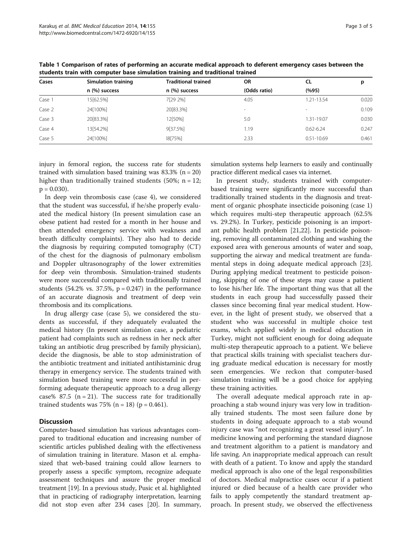| Cases  | Simulation training<br>n (%) success | <b>Traditional trained</b><br>n (%) success | <b>OR</b><br>(Odds ratio) | <b>CL</b><br>(%95) | р     |
|--------|--------------------------------------|---------------------------------------------|---------------------------|--------------------|-------|
|        |                                      |                                             |                           |                    |       |
| Case 2 | 24[100%]                             | 20[83.3%]                                   | $\overline{\phantom{a}}$  |                    | 0.109 |
| Case 3 | 20[83.3%]                            | 12[50%]                                     | 5.0                       | 1.31-19.07         | 0.030 |
| Case 4 | 13[54.2%]                            | 9[37.5%]                                    | 1.19                      | $0.62 - 6.24$      | 0.247 |
| Case 5 | 24[100%]                             | 18[75%]                                     | 2.33                      | $0.51 - 10.69$     | 0.461 |

<span id="page-2-0"></span>Table 1 Comparison of rates of performing an accurate medical approach to deferent emergency cases between the students train with computer base simulation training and traditional trained

injury in femoral region, the success rate for students trained with simulation based training was  $83.3\%$  (n = 20) higher than traditionally trained students (50%;  $n = 12$ ;  $p = 0.030$ ).

In deep vein thrombosis case (case 4), we considered that the student was successful, if he/she properly evaluated the medical history (In present simulation case an obese patient had rested for a month in her house and then attended emergency service with weakness and breath difficulty complaints). They also had to decide the diagnosis by requiring computed tomography (CT) of the chest for the diagnosis of pulmonary embolism and Doppler ultrasonography of the lower extremities for deep vein thrombosis. Simulation-trained students were more successful compared with traditionally trained students  $(54.2\% \text{ vs. } 37.5\%, \text{ p} = 0.247)$  in the performance of an accurate diagnosis and treatment of deep vein thrombosis and its complications.

In drug allergy case (case 5), we considered the students as successful, if they adequately evaluated the medical history (In present simulation case, a pediatric patient had complaints such as redness in her neck after taking an antibiotic drug prescribed by family physician), decide the diagnosis, be able to stop administration of the antibiotic treatment and initiated antihistaminic drug therapy in emergency service. The students trained with simulation based training were more successful in performing adequate therapeutic approach to a drug allergy case% 87.5 ( $n = 21$ ). The success rate for traditionally trained students was 75% ( $n = 18$ ) ( $p = 0.461$ ).

### **Discussion**

Computer-based simulation has various advantages compared to traditional education and increasing number of scientific articles published dealing with the effectiveness of simulation training in literature. Mason et al. emphasized that web-based training could allow learners to properly assess a specific symptom, recognize adequate assessment techniques and assure the proper medical treatment [[19](#page-4-0)]. In a previous study, Pusic et al. highlighted that in practicing of radiography interpretation, learning did not stop even after 234 cases [[20\]](#page-4-0). In summary, simulation systems help learners to easily and continually practice different medical cases via internet.

In present study, students trained with computerbased training were significantly more successful than traditionally trained students in the diagnosis and treatment of organic phosphate insecticide poisoning (case 1) which requires multi-step therapeutic approach (62.5% vs. 29.2%). In Turkey, pesticide poisoning is an important public health problem [\[21,22\]](#page-4-0). In pesticide poisoning, removing all contaminated clothing and washing the exposed area with generous amounts of water and soap, supporting the airway and medical treatment are fundamental steps in doing adequate medical approach [\[23](#page-4-0)]. During applying medical treatment to pesticide poisoning, skipping of one of these steps may cause a patient to lose his/her life. The important thing was that all the students in each group had successfully passed their classes since becoming final year medical student. However, in the light of present study, we observed that a student who was successful in multiple choice test exams, which applied widely in medical education in Turkey, might not sufficient enough for doing adequate multi-step therapeutic approach to a patient. We believe that practical skills training with specialist teachers during graduate medical education is necessary for mostly seen emergencies. We reckon that computer-based simulation training will be a good choice for applying these training activities.

The overall adequate medical approach rate in approaching a stab wound injury was very low in traditionally trained students. The most seen failure done by students in doing adequate approach to a stab wound injury case was "not recognizing a great vessel injury". In medicine knowing and performing the standard diagnose and treatment algorithm to a patient is mandatory and life saving. An inappropriate medical approach can result with death of a patient. To know and apply the standard medical approach is also one of the legal responsibilities of doctors. Medical malpractice cases occur if a patient injured or died because of a health care provider who fails to apply competently the standard treatment approach. In present study, we observed the effectiveness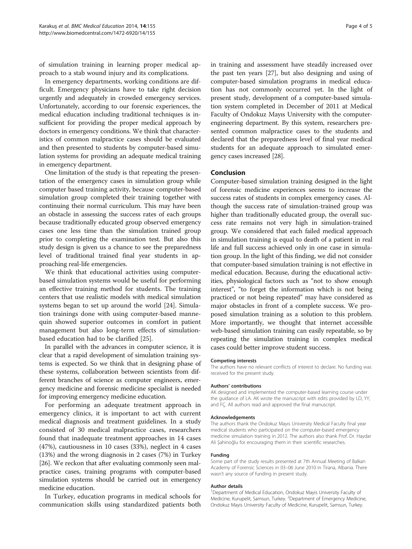of simulation training in learning proper medical approach to a stab wound injury and its complications.

In emergency departments, working conditions are difficult. Emergency physicians have to take right decision urgently and adequately in crowded emergency services. Unfortunately, according to our forensic experiences, the medical education including traditional techniques is insufficient for providing the proper medical approach by doctors in emergency conditions. We think that characteristics of common malpractice cases should be evaluated and then presented to students by computer-based simulation systems for providing an adequate medical training in emergency department.

One limitation of the study is that repeating the presentation of the emergency cases in simulation group while computer based training activity, because computer-based simulation group completed their training together with continuing their normal curriculum. This may have been an obstacle in assessing the success rates of each groups because traditionally educated group observed emergency cases one less time than the simulation trained group prior to completing the examination test. But also this study design is given us a chance to see the preparedness level of traditional trained final year students in approaching real-life emergencies.

We think that educational activities using computerbased simulation systems would be useful for performing an effective training method for students. The training centers that use realistic models with medical simulation systems began to set up around the world [\[24\]](#page-4-0). Simulation trainings done with using computer-based mannequin showed superior outcomes in comfort in patient management but also long-term effects of simulationbased education had to be clarified [[25\]](#page-4-0).

In parallel with the advances in computer science, it is clear that a rapid development of simulation training systems is expected. So we think that in designing phase of these systems, collaboration between scientists from different branches of science as computer engineers, emergency medicine and forensic medicine specialist is needed for improving emergency medicine education.

For performing an adequate treatment approach in emergency clinics, it is important to act with current medical diagnosis and treatment guidelines. In a study consisted of 30 medical malpractice cases, researchers found that inadequate treatment approaches in 14 cases (47%), cautiousness in 10 cases (33%), neglect in 4 cases (13%) and the wrong diagnosis in 2 cases (7%) in Turkey [[26](#page-4-0)]. We reckon that after evaluating commonly seen malpractice cases, training programs with computer-based simulation systems should be carried out in emergency medicine education.

In Turkey, education programs in medical schools for communication skills using standardized patients both

in training and assessment have steadily increased over the past ten years [\[27\]](#page-4-0), but also designing and using of computer-based simulation programs in medical education has not commonly occurred yet. In the light of present study, development of a computer-based simulation system completed in December of 2011 at Medical Faculty of Ondokuz Mayıs University with the computerengineering department. By this system, researchers presented common malpractice cases to the students and declared that the preparedness level of final year medical students for an adequate approach to simulated emergency cases increased [[28](#page-4-0)].

## Conclusion

Computer-based simulation training designed in the light of forensic medicine experiences seems to increase the success rates of students in complex emergency cases. Although the success rate of simulation-trained group was higher than traditionally educated group, the overall success rate remains not very high in simulation-trained group. We considered that each failed medical approach in simulation training is equal to death of a patient in real life and full success achieved only in one case in simulation group. In the light of this finding, we did not consider that computer-based simulation training is not effective in medical education. Because, during the educational activities, physiological factors such as "not to show enough interest", "to forget the information which is not being practiced or not being repeated" may have considered as major obstacles in front of a complete success. We proposed simulation training as a solution to this problem. More importantly, we thought that internet accessible web-based simulation training can easily repeatable, so by repeating the simulation training in complex medical cases could better improve student success.

#### Competing interests

The authors have no relevant conflicts of interest to declare. No funding was received for the present study.

#### Authors' contributions

AK designed and implemented the computer-based learning course under the guidance of LA. AK wrote the manuscript with edits provided by LD, YY, and FÇ. All authors read and approved the final manuscript.

#### Acknowledgements

The authors thank the Ondokuz Mayıs University Medical Faculty final year medical students who participated on the computer-based emergency medicine simulation training in 2012. The authors also thank Prof. Dr. Haydar Ali Şahinoğlu for encouraging them in their scientific researches.

#### Funding

Some part of the study results presented at 7th Annual Meeting of Balkan Academy of Forensic Sciences in 03–06 June 2010 in Tirana, Albania. There wasn't any source of funding in present study.

#### Author details

<sup>1</sup>Department of Medical Education, Ondokuz Mayis University Faculty of Medicine, Kurupelit, Samsun, Turkey. <sup>2</sup>Department of Emergency Medicine Ondokuz Mayis University Faculty of Medicine, Kurupelit, Samsun, Turkey.